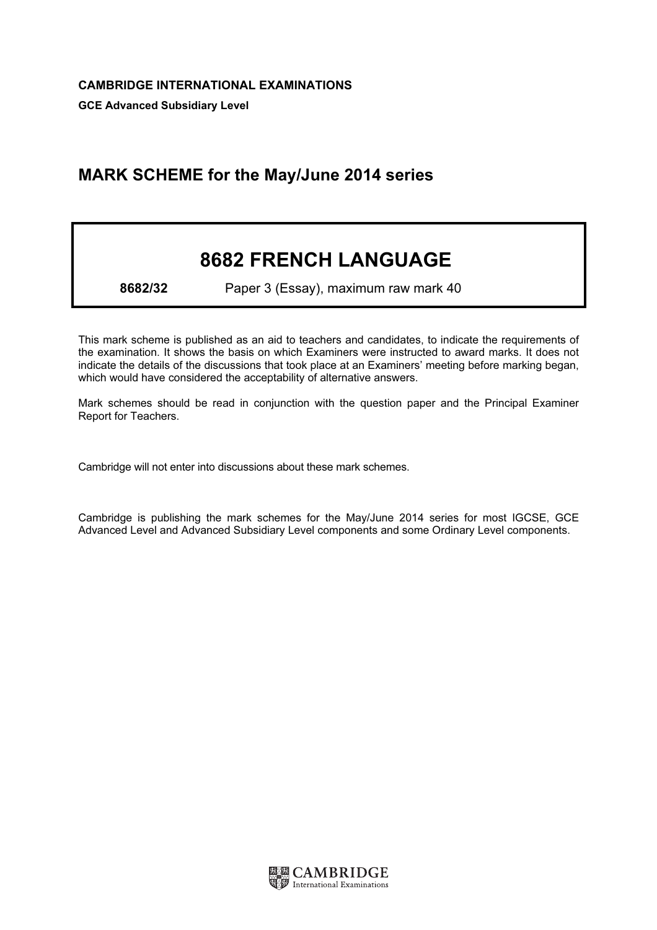## MARK SCHEME for the May/June 2014 series

## 8682 FRENCH LANGUAGE

8682/32 Paper 3 (Essay), maximum raw mark 40

This mark scheme is published as an aid to teachers and candidates, to indicate the requirements of the examination. It shows the basis on which Examiners were instructed to award marks. It does not indicate the details of the discussions that took place at an Examiners' meeting before marking began, which would have considered the acceptability of alternative answers.

Mark schemes should be read in conjunction with the question paper and the Principal Examiner Report for Teachers.

Cambridge will not enter into discussions about these mark schemes.

Cambridge is publishing the mark schemes for the May/June 2014 series for most IGCSE, GCE Advanced Level and Advanced Subsidiary Level components and some Ordinary Level components.